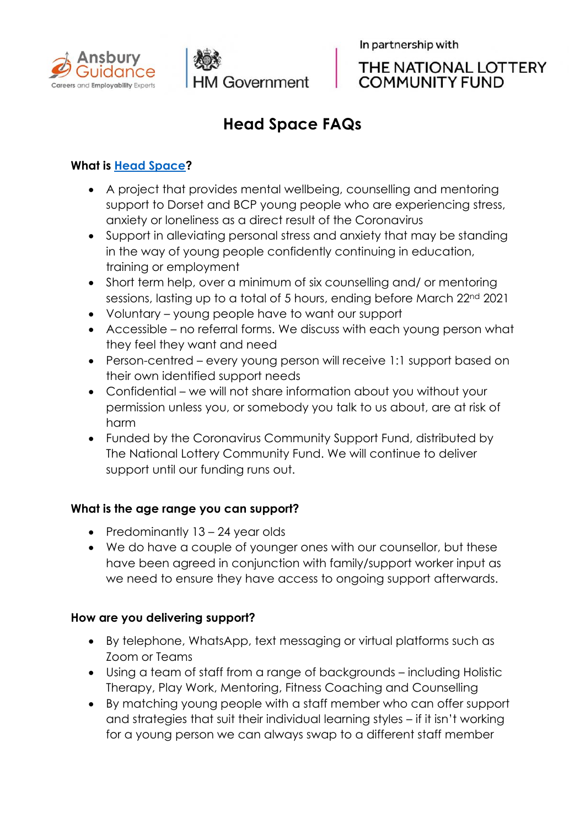



In partnership with



# **Head Space FAQs**

## **What is [Head Space?](https://www.ansbury.co.uk/Head_Space.html)**

- A project that provides mental wellbeing, counselling and mentoring support to Dorset and BCP young people who are experiencing stress, anxiety or loneliness as a direct result of the Coronavirus
- Support in alleviating personal stress and anxiety that may be standing in the way of young people confidently continuing in education, training or employment
- Short term help, over a minimum of six counselling and/ or mentoring sessions, lasting up to a total of 5 hours, ending before March 22nd 2021
- Voluntary young people have to want our support
- Accessible no referral forms. We discuss with each young person what they feel they want and need
- Person-centred every young person will receive 1:1 support based on their own identified support needs
- Confidential we will not share information about you without your permission unless you, or somebody you talk to us about, are at risk of harm
- Funded by the Coronavirus Community Support Fund, distributed by The National Lottery Community Fund. We will continue to deliver support until our funding runs out.

## **What is the age range you can support?**

- Predominantly 13 24 year olds
- We do have a couple of younger ones with our counsellor, but these have been agreed in conjunction with family/support worker input as we need to ensure they have access to ongoing support afterwards.

## **How are you delivering support?**

- By telephone, WhatsApp, text messaging or virtual platforms such as Zoom or Teams
- Using a team of staff from a range of backgrounds including Holistic Therapy, Play Work, Mentoring, Fitness Coaching and Counselling
- By matching young people with a staff member who can offer support and strategies that suit their individual learning styles – if it isn't working for a young person we can always swap to a different staff member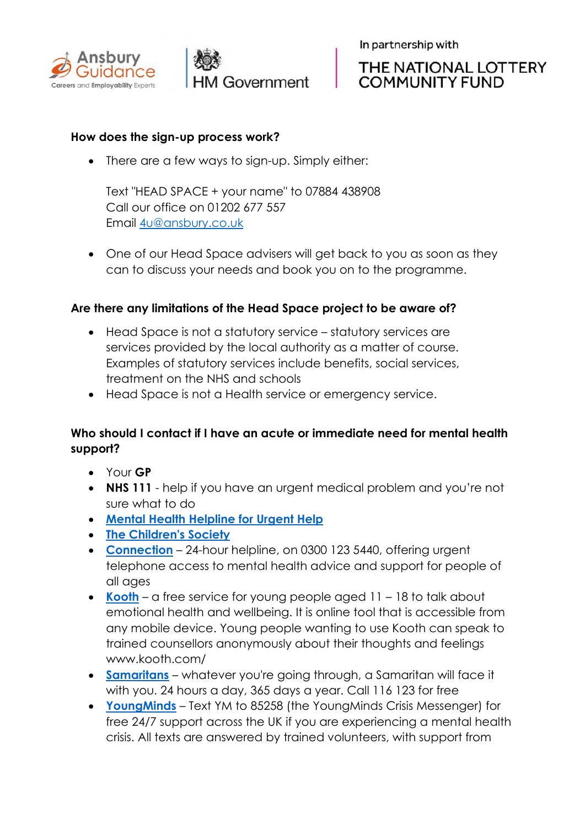



In partnership with

# THE NATIONAL LOTTERY **COMMUNITY FUND**

### **How does the sign-up process work?**

• There are a few ways to sign-up. Simply either:

Text "HEAD SPACE + your name" to 07884 438908 Call our office on 01202 677 557 Email [4u@ansbury.co.uk](mailto:4u@ansbury.co.uk)

• One of our Head Space advisers will get back to you as soon as they can to discuss your needs and book you on to the programme.

#### **Are there any limitations of the Head Space project to be aware of?**

- Head Space is not a statutory service statutory services are services provided by the local authority as a matter of course. Examples of statutory services include benefits, social services, treatment on the NHS and schools
- Head Space is not a Health service or emergency service.

## **Who should I contact if I have an acute or immediate need for mental health support?**

- Your **GP**
- **NHS 111** help if you have an urgent medical problem and you're not sure what to do
- **[Mental Health Helpline for Urgent Help](http://www.nhs.uk/service-search/mental-health/find-an-urgent-mental-health-helpline)**
- **[The Children's Society](https://www.childrenssociety.org.uk/see-hear-respond)**
- **[Connection](https://www.dorsethealthcare.nhs.uk/patients-and-visitors/our-services-hospitals/mental-health/connection)** 24-hour helpline, on 0300 123 5440, offering urgent telephone access to mental health advice and support for people of all ages
- **[Kooth](https://www.kooth.com/)** a free service for young people aged 11 18 to talk about emotional health and wellbeing. It is online tool that is accessible from any mobile device. Young people wanting to use Kooth can speak to trained counsellors anonymously about their thoughts and feelings www.kooth.com/
- **[Samaritans](https://www.samaritans.org/branches/bournemouth/)** whatever you're going through, a Samaritan will face it with you. 24 hours a day, 365 days a year. Call 116 123 for free
- **[YoungMinds](https://youngminds.org.uk/find-help/)** Text YM to 85258 (the YoungMinds Crisis Messenger) for free 24/7 support across the UK if you are experiencing a mental health crisis. All texts are answered by trained volunteers, with support from